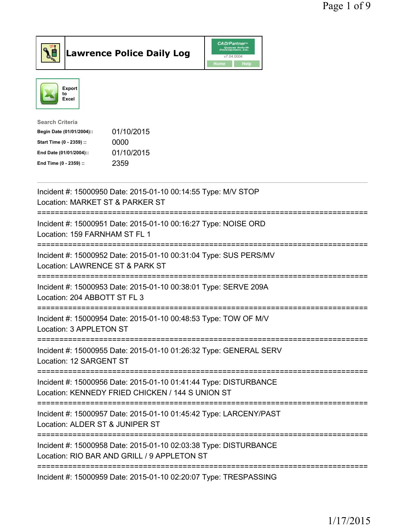



| <b>Search Criteria</b>    |            |
|---------------------------|------------|
| Begin Date (01/01/2004):: | 01/10/2015 |
| Start Time (0 - 2359) ::  | 0000       |
| End Date (01/01/2004)::   | 01/10/2015 |
| End Time (0 - 2359) ::    | 2359       |
|                           |            |

| Incident #: 15000950 Date: 2015-01-10 00:14:55 Type: M/V STOP<br>Location: MARKET ST & PARKER ST                                                         |
|----------------------------------------------------------------------------------------------------------------------------------------------------------|
| Incident #: 15000951 Date: 2015-01-10 00:16:27 Type: NOISE ORD<br>Location: 159 FARNHAM ST FL 1                                                          |
| Incident #: 15000952 Date: 2015-01-10 00:31:04 Type: SUS PERS/MV<br>Location: LAWRENCE ST & PARK ST<br>----------------------                            |
| Incident #: 15000953 Date: 2015-01-10 00:38:01 Type: SERVE 209A<br>Location: 204 ABBOTT ST FL 3<br>-----------------<br>-------------------              |
| Incident #: 15000954 Date: 2015-01-10 00:48:53 Type: TOW OF M/V<br>Location: 3 APPLETON ST<br>------------------                                         |
| Incident #: 15000955 Date: 2015-01-10 01:26:32 Type: GENERAL SERV<br>Location: 12 SARGENT ST<br>-----------------                                        |
| Incident #: 15000956 Date: 2015-01-10 01:41:44 Type: DISTURBANCE<br>Location: KENNEDY FRIED CHICKEN / 144 S UNION ST<br>-------------------------------- |
| Incident #: 15000957 Date: 2015-01-10 01:45:42 Type: LARCENY/PAST<br>Location: ALDER ST & JUNIPER ST<br>------------------------                         |
| Incident #: 15000958 Date: 2015-01-10 02:03:38 Type: DISTURBANCE<br>Location: RIO BAR AND GRILL / 9 APPLETON ST                                          |
| Incident #: 15000959 Date: 2015-01-10 02:20:07 Type: TRESPASSING                                                                                         |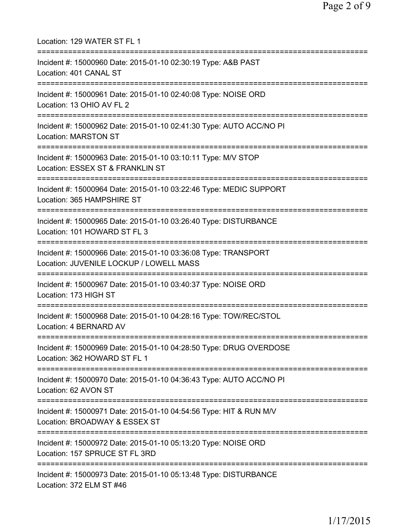| Location: 129 WATER ST FL 1                                                                                                   |
|-------------------------------------------------------------------------------------------------------------------------------|
| Incident #: 15000960 Date: 2015-01-10 02:30:19 Type: A&B PAST<br>Location: 401 CANAL ST                                       |
| Incident #: 15000961 Date: 2015-01-10 02:40:08 Type: NOISE ORD<br>Location: 13 OHIO AV FL 2                                   |
| Incident #: 15000962 Date: 2015-01-10 02:41:30 Type: AUTO ACC/NO PI<br>Location: MARSTON ST                                   |
| Incident #: 15000963 Date: 2015-01-10 03:10:11 Type: M/V STOP<br>Location: ESSEX ST & FRANKLIN ST                             |
| Incident #: 15000964 Date: 2015-01-10 03:22:46 Type: MEDIC SUPPORT<br>Location: 365 HAMPSHIRE ST                              |
| Incident #: 15000965 Date: 2015-01-10 03:26:40 Type: DISTURBANCE<br>Location: 101 HOWARD ST FL 3                              |
| Incident #: 15000966 Date: 2015-01-10 03:36:08 Type: TRANSPORT<br>Location: JUVENILE LOCKUP / LOWELL MASS                     |
| Incident #: 15000967 Date: 2015-01-10 03:40:37 Type: NOISE ORD<br>Location: 173 HIGH ST                                       |
| Incident #: 15000968 Date: 2015-01-10 04:28:16 Type: TOW/REC/STOL<br>Location: 4 BERNARD AV                                   |
| ;======================<br>Incident #: 15000969 Date: 2015-01-10 04:28:50 Type: DRUG OVERDOSE<br>Location: 362 HOWARD ST FL 1 |
| Incident #: 15000970 Date: 2015-01-10 04:36:43 Type: AUTO ACC/NO PI<br>Location: 62 AVON ST                                   |
| Incident #: 15000971 Date: 2015-01-10 04:54:56 Type: HIT & RUN M/V<br>Location: BROADWAY & ESSEX ST                           |
| Incident #: 15000972 Date: 2015-01-10 05:13:20 Type: NOISE ORD<br>Location: 157 SPRUCE ST FL 3RD                              |
| Incident #: 15000973 Date: 2015-01-10 05:13:48 Type: DISTURBANCE<br>Location: 372 ELM ST #46                                  |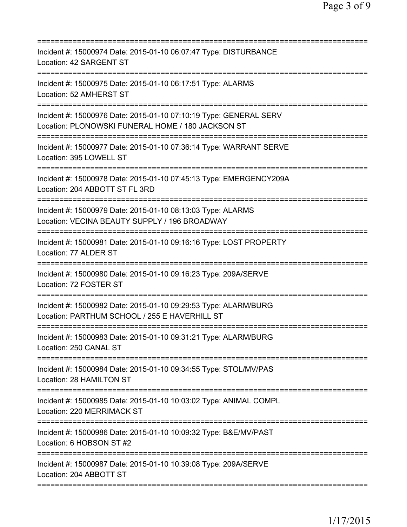| ==========================<br>============                                                                                     |
|--------------------------------------------------------------------------------------------------------------------------------|
| Incident #: 15000974 Date: 2015-01-10 06:07:47 Type: DISTURBANCE<br>Location: 42 SARGENT ST<br>==============<br>============= |
| Incident #: 15000975 Date: 2015-01-10 06:17:51 Type: ALARMS<br>Location: 52 AMHERST ST                                         |
| Incident #: 15000976 Date: 2015-01-10 07:10:19 Type: GENERAL SERV<br>Location: PLONOWSKI FUNERAL HOME / 180 JACKSON ST         |
| Incident #: 15000977 Date: 2015-01-10 07:36:14 Type: WARRANT SERVE<br>Location: 395 LOWELL ST                                  |
| Incident #: 15000978 Date: 2015-01-10 07:45:13 Type: EMERGENCY209A<br>Location: 204 ABBOTT ST FL 3RD                           |
| Incident #: 15000979 Date: 2015-01-10 08:13:03 Type: ALARMS<br>Location: VECINA BEAUTY SUPPLY / 196 BROADWAY                   |
| Incident #: 15000981 Date: 2015-01-10 09:16:16 Type: LOST PROPERTY<br>Location: 77 ALDER ST                                    |
| =====================<br>Incident #: 15000980 Date: 2015-01-10 09:16:23 Type: 209A/SERVE<br>Location: 72 FOSTER ST             |
| Incident #: 15000982 Date: 2015-01-10 09:29:53 Type: ALARM/BURG<br>Location: PARTHUM SCHOOL / 255 E HAVERHILL ST               |
| Incident #: 15000983 Date: 2015-01-10 09:31:21 Type: ALARM/BURG<br>Location: 250 CANAL ST                                      |
| Incident #: 15000984 Date: 2015-01-10 09:34:55 Type: STOL/MV/PAS<br>Location: 28 HAMILTON ST                                   |
| Incident #: 15000985 Date: 2015-01-10 10:03:02 Type: ANIMAL COMPL<br>Location: 220 MERRIMACK ST                                |
| Incident #: 15000986 Date: 2015-01-10 10:09:32 Type: B&E/MV/PAST<br>Location: 6 HOBSON ST #2                                   |
| Incident #: 15000987 Date: 2015-01-10 10:39:08 Type: 209A/SERVE<br>Location: 204 ABBOTT ST                                     |
|                                                                                                                                |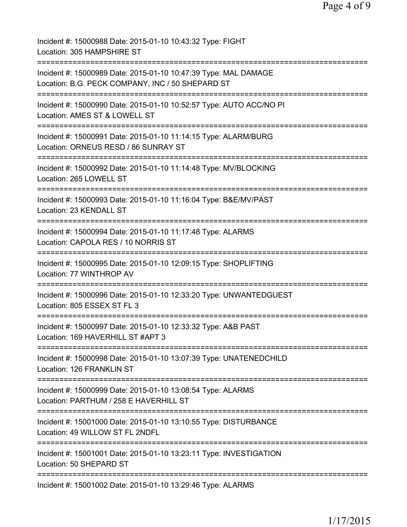| Incident #: 15000988 Date: 2015-01-10 10:43:32 Type: FIGHT<br>Location: 305 HAMPSHIRE ST                                                          |
|---------------------------------------------------------------------------------------------------------------------------------------------------|
| Incident #: 15000989 Date: 2015-01-10 10:47:39 Type: MAL DAMAGE<br>Location: B.G. PECK COMPANY, INC / 50 SHEPARD ST<br>========================== |
| Incident #: 15000990 Date: 2015-01-10 10:52:57 Type: AUTO ACC/NO PI<br>Location: AMES ST & LOWELL ST                                              |
| Incident #: 15000991 Date: 2015-01-10 11:14:15 Type: ALARM/BURG<br>Location: ORNEUS RESD / 86 SUNRAY ST                                           |
| ==========================<br>Incident #: 15000992 Date: 2015-01-10 11:14:48 Type: MV/BLOCKING<br>Location: 265 LOWELL ST                         |
| Incident #: 15000993 Date: 2015-01-10 11:16:04 Type: B&E/MV/PAST<br>Location: 23 KENDALL ST                                                       |
| Incident #: 15000994 Date: 2015-01-10 11:17:48 Type: ALARMS<br>Location: CAPOLA RES / 10 NORRIS ST                                                |
| Incident #: 15000995 Date: 2015-01-10 12:09:15 Type: SHOPLIFTING<br>Location: 77 WINTHROP AV                                                      |
| Incident #: 15000996 Date: 2015-01-10 12:33:20 Type: UNWANTEDGUEST<br>Location: 805 ESSEX ST FL 3                                                 |
| Incident #: 15000997 Date: 2015-01-10 12:33:32 Type: A&B PAST<br>Location: 169 HAVERHILL ST #APT 3                                                |
| ============================<br>Incident #: 15000998 Date: 2015-01-10 13:07:39 Type: UNATENEDCHILD<br>Location: 126 FRANKLIN ST                   |
| Incident #: 15000999 Date: 2015-01-10 13:08:54 Type: ALARMS<br>Location: PARTHUM / 258 E HAVERHILL ST                                             |
| Incident #: 15001000 Date: 2015-01-10 13:10:55 Type: DISTURBANCE<br>Location: 49 WILLOW ST FL 2NDFL                                               |
| Incident #: 15001001 Date: 2015-01-10 13:23:11 Type: INVESTIGATION<br>Location: 50 SHEPARD ST                                                     |
| ================================<br>Incident #: 15001002 Date: 2015-01-10 13:29:46 Type: ALARMS                                                   |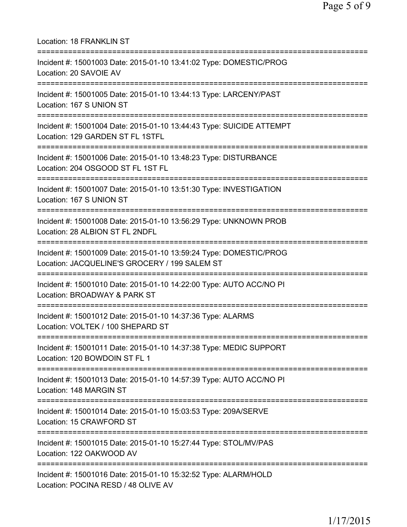| Location: 18 FRANKLIN ST<br>===========================                                                                                 |
|-----------------------------------------------------------------------------------------------------------------------------------------|
| Incident #: 15001003 Date: 2015-01-10 13:41:02 Type: DOMESTIC/PROG<br>Location: 20 SAVOIE AV<br>=================                       |
| Incident #: 15001005 Date: 2015-01-10 13:44:13 Type: LARCENY/PAST<br>Location: 167 S UNION ST                                           |
| Incident #: 15001004 Date: 2015-01-10 13:44:43 Type: SUICIDE ATTEMPT<br>Location: 129 GARDEN ST FL 1STFL<br>=========================== |
| Incident #: 15001006 Date: 2015-01-10 13:48:23 Type: DISTURBANCE<br>Location: 204 OSGOOD ST FL 1ST FL<br>==========================     |
| Incident #: 15001007 Date: 2015-01-10 13:51:30 Type: INVESTIGATION<br>Location: 167 S UNION ST                                          |
| Incident #: 15001008 Date: 2015-01-10 13:56:29 Type: UNKNOWN PROB<br>Location: 28 ALBION ST FL 2NDFL                                    |
| Incident #: 15001009 Date: 2015-01-10 13:59:24 Type: DOMESTIC/PROG<br>Location: JACQUELINE'S GROCERY / 199 SALEM ST                     |
| Incident #: 15001010 Date: 2015-01-10 14:22:00 Type: AUTO ACC/NO PI<br>Location: BROADWAY & PARK ST<br>===================              |
| Incident #: 15001012 Date: 2015-01-10 14:37:36 Type: ALARMS<br>Location: VOLTEK / 100 SHEPARD ST                                        |
| Incident #: 15001011 Date: 2015-01-10 14:37:38 Type: MEDIC SUPPORT<br>Location: 120 BOWDOIN ST FL 1                                     |
| Incident #: 15001013 Date: 2015-01-10 14:57:39 Type: AUTO ACC/NO PI<br>Location: 148 MARGIN ST                                          |
| ===================================<br>Incident #: 15001014 Date: 2015-01-10 15:03:53 Type: 209A/SERVE<br>Location: 15 CRAWFORD ST      |
| ===================================<br>Incident #: 15001015 Date: 2015-01-10 15:27:44 Type: STOL/MV/PAS<br>Location: 122 OAKWOOD AV     |
| Incident #: 15001016 Date: 2015-01-10 15:32:52 Type: ALARM/HOLD<br>Location: POCINA RESD / 48 OLIVE AV                                  |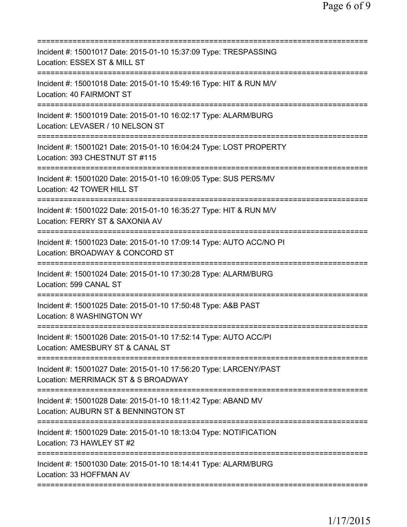| Incident #: 15001017 Date: 2015-01-10 15:37:09 Type: TRESPASSING<br>Location: ESSEX ST & MILL ST<br>=======================                      |
|--------------------------------------------------------------------------------------------------------------------------------------------------|
| Incident #: 15001018 Date: 2015-01-10 15:49:16 Type: HIT & RUN M/V<br>Location: 40 FAIRMONT ST                                                   |
| Incident #: 15001019 Date: 2015-01-10 16:02:17 Type: ALARM/BURG<br>Location: LEVASER / 10 NELSON ST                                              |
| Incident #: 15001021 Date: 2015-01-10 16:04:24 Type: LOST PROPERTY<br>Location: 393 CHESTNUT ST #115                                             |
| Incident #: 15001020 Date: 2015-01-10 16:09:05 Type: SUS PERS/MV<br>Location: 42 TOWER HILL ST                                                   |
| Incident #: 15001022 Date: 2015-01-10 16:35:27 Type: HIT & RUN M/V<br>Location: FERRY ST & SAXONIA AV<br>==========================              |
| Incident #: 15001023 Date: 2015-01-10 17:09:14 Type: AUTO ACC/NO PI<br>Location: BROADWAY & CONCORD ST<br>=====================                  |
| Incident #: 15001024 Date: 2015-01-10 17:30:28 Type: ALARM/BURG<br>Location: 599 CANAL ST                                                        |
| Incident #: 15001025 Date: 2015-01-10 17:50:48 Type: A&B PAST<br>Location: 8 WASHINGTON WY                                                       |
| Incident #: 15001026 Date: 2015-01-10 17:52:14 Type: AUTO ACC/PI<br>Location: AMESBURY ST & CANAL ST                                             |
| ====================================<br>Incident #: 15001027 Date: 2015-01-10 17:56:20 Type: LARCENY/PAST<br>Location: MERRIMACK ST & S BROADWAY |
| Incident #: 15001028 Date: 2015-01-10 18:11:42 Type: ABAND MV<br>Location: AUBURN ST & BENNINGTON ST                                             |
| Incident #: 15001029 Date: 2015-01-10 18:13:04 Type: NOTIFICATION<br>Location: 73 HAWLEY ST #2                                                   |
| Incident #: 15001030 Date: 2015-01-10 18:14:41 Type: ALARM/BURG<br>Location: 33 HOFFMAN AV                                                       |
|                                                                                                                                                  |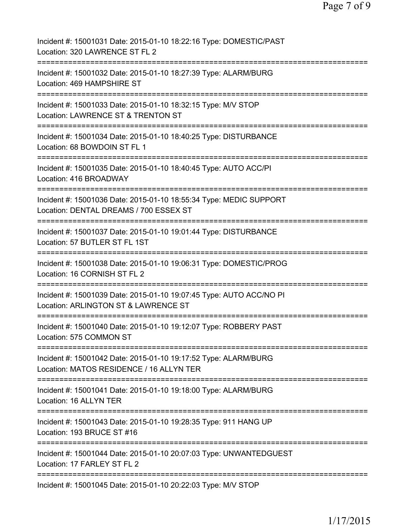| Incident #: 15001031 Date: 2015-01-10 18:22:16 Type: DOMESTIC/PAST<br>Location: 320 LAWRENCE ST FL 2         |
|--------------------------------------------------------------------------------------------------------------|
| Incident #: 15001032 Date: 2015-01-10 18:27:39 Type: ALARM/BURG<br>Location: 469 HAMPSHIRE ST                |
| Incident #: 15001033 Date: 2015-01-10 18:32:15 Type: M/V STOP<br>Location: LAWRENCE ST & TRENTON ST          |
| Incident #: 15001034 Date: 2015-01-10 18:40:25 Type: DISTURBANCE<br>Location: 68 BOWDOIN ST FL 1             |
| Incident #: 15001035 Date: 2015-01-10 18:40:45 Type: AUTO ACC/PI<br>Location: 416 BROADWAY                   |
| Incident #: 15001036 Date: 2015-01-10 18:55:34 Type: MEDIC SUPPORT<br>Location: DENTAL DREAMS / 700 ESSEX ST |
| Incident #: 15001037 Date: 2015-01-10 19:01:44 Type: DISTURBANCE<br>Location: 57 BUTLER ST FL 1ST            |
| Incident #: 15001038 Date: 2015-01-10 19:06:31 Type: DOMESTIC/PROG<br>Location: 16 CORNISH ST FL 2           |
| Incident #: 15001039 Date: 2015-01-10 19:07:45 Type: AUTO ACC/NO PI<br>Location: ARLINGTON ST & LAWRENCE ST  |
| Incident #: 15001040 Date: 2015-01-10 19:12:07 Type: ROBBERY PAST<br>Location: 575 COMMON ST                 |
| Incident #: 15001042 Date: 2015-01-10 19:17:52 Type: ALARM/BURG<br>Location: MATOS RESIDENCE / 16 ALLYN TER  |
| Incident #: 15001041 Date: 2015-01-10 19:18:00 Type: ALARM/BURG<br>Location: 16 ALLYN TER                    |
| Incident #: 15001043 Date: 2015-01-10 19:28:35 Type: 911 HANG UP<br>Location: 193 BRUCE ST #16               |
| Incident #: 15001044 Date: 2015-01-10 20:07:03 Type: UNWANTEDGUEST<br>Location: 17 FARLEY ST FL 2            |
| Incident #: 15001045 Date: 2015-01-10 20:22:03 Type: M/V STOP                                                |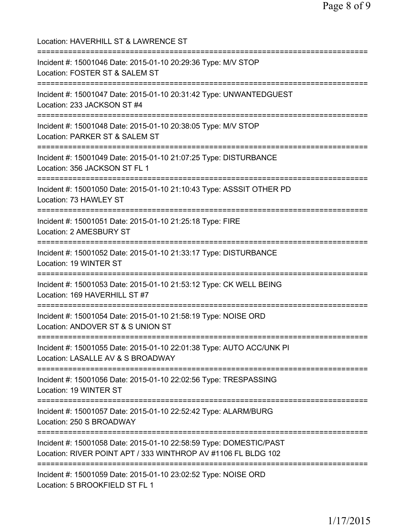| Location: HAVERHILL ST & LAWRENCE ST                                                                                                  |
|---------------------------------------------------------------------------------------------------------------------------------------|
| Incident #: 15001046 Date: 2015-01-10 20:29:36 Type: M/V STOP<br>Location: FOSTER ST & SALEM ST                                       |
| Incident #: 15001047 Date: 2015-01-10 20:31:42 Type: UNWANTEDGUEST<br>Location: 233 JACKSON ST #4                                     |
| Incident #: 15001048 Date: 2015-01-10 20:38:05 Type: M/V STOP<br>Location: PARKER ST & SALEM ST                                       |
| Incident #: 15001049 Date: 2015-01-10 21:07:25 Type: DISTURBANCE<br>Location: 356 JACKSON ST FL 1<br>================================ |
| Incident #: 15001050 Date: 2015-01-10 21:10:43 Type: ASSSIT OTHER PD<br>Location: 73 HAWLEY ST<br>---------------------------         |
| Incident #: 15001051 Date: 2015-01-10 21:25:18 Type: FIRE<br>Location: 2 AMESBURY ST<br>.-------------------------------              |
| Incident #: 15001052 Date: 2015-01-10 21:33:17 Type: DISTURBANCE<br>Location: 19 WINTER ST                                            |
| Incident #: 15001053 Date: 2015-01-10 21:53:12 Type: CK WELL BEING<br>Location: 169 HAVERHILL ST #7                                   |
| Incident #: 15001054 Date: 2015-01-10 21:58:19 Type: NOISE ORD<br>Location: ANDOVER ST & S UNION ST                                   |
| Incident #: 15001055 Date: 2015-01-10 22:01:38 Type: AUTO ACC/UNK PI<br>Location: LASALLE AV & S BROADWAY                             |
| Incident #: 15001056 Date: 2015-01-10 22:02:56 Type: TRESPASSING<br>Location: 19 WINTER ST                                            |
| Incident #: 15001057 Date: 2015-01-10 22:52:42 Type: ALARM/BURG<br>Location: 250 S BROADWAY                                           |
| Incident #: 15001058 Date: 2015-01-10 22:58:59 Type: DOMESTIC/PAST<br>Location: RIVER POINT APT / 333 WINTHROP AV #1106 FL BLDG 102   |
| Incident #: 15001059 Date: 2015-01-10 23:02:52 Type: NOISE ORD<br>Location: 5 BROOKFIELD ST FL 1                                      |